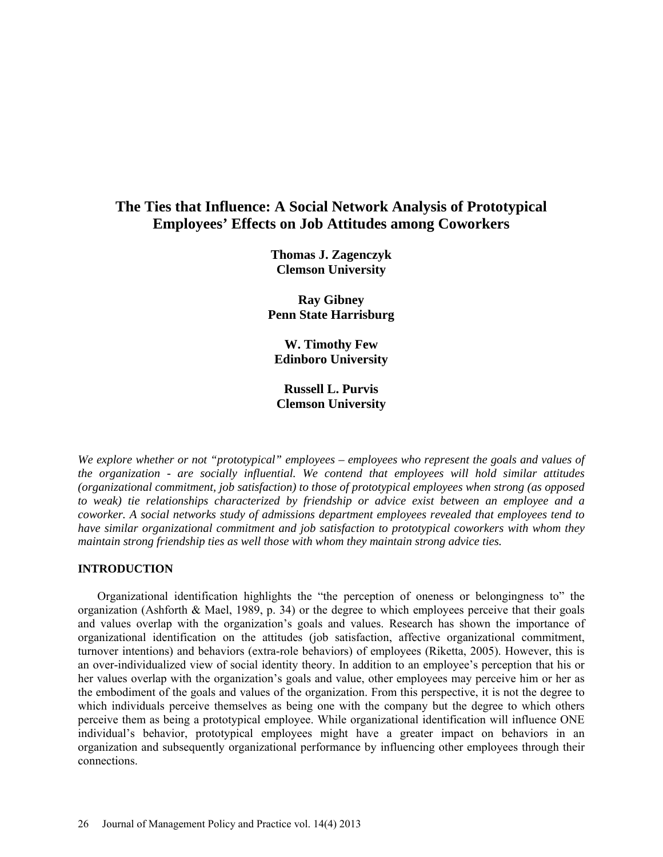# **The Ties that Influence: A Social Network Analysis of Prototypical Employees' Effects on Job Attitudes among Coworkers**

**Thomas J. Zagenczyk Clemson University**

**Ray Gibney Penn State Harrisburg**

**W. Timothy Few Edinboro University**

**Russell L. Purvis Clemson University**

*We explore whether or not "prototypical" employees – employees who represent the goals and values of the organization - are socially influential. We contend that employees will hold similar attitudes (organizational commitment, job satisfaction) to those of prototypical employees when strong (as opposed to weak) tie relationships characterized by friendship or advice exist between an employee and a coworker. A social networks study of admissions department employees revealed that employees tend to have similar organizational commitment and job satisfaction to prototypical coworkers with whom they maintain strong friendship ties as well those with whom they maintain strong advice ties.*

### **INTRODUCTION**

Organizational identification highlights the "the perception of oneness or belongingness to" the organization (Ashforth & Mael, 1989, p. 34) or the degree to which employees perceive that their goals and values overlap with the organization's goals and values. Research has shown the importance of organizational identification on the attitudes (job satisfaction, affective organizational commitment, turnover intentions) and behaviors (extra-role behaviors) of employees (Riketta, 2005). However, this is an over-individualized view of social identity theory. In addition to an employee's perception that his or her values overlap with the organization's goals and value, other employees may perceive him or her as the embodiment of the goals and values of the organization. From this perspective, it is not the degree to which individuals perceive themselves as being one with the company but the degree to which others perceive them as being a prototypical employee. While organizational identification will influence ONE individual's behavior, prototypical employees might have a greater impact on behaviors in an organization and subsequently organizational performance by influencing other employees through their connections.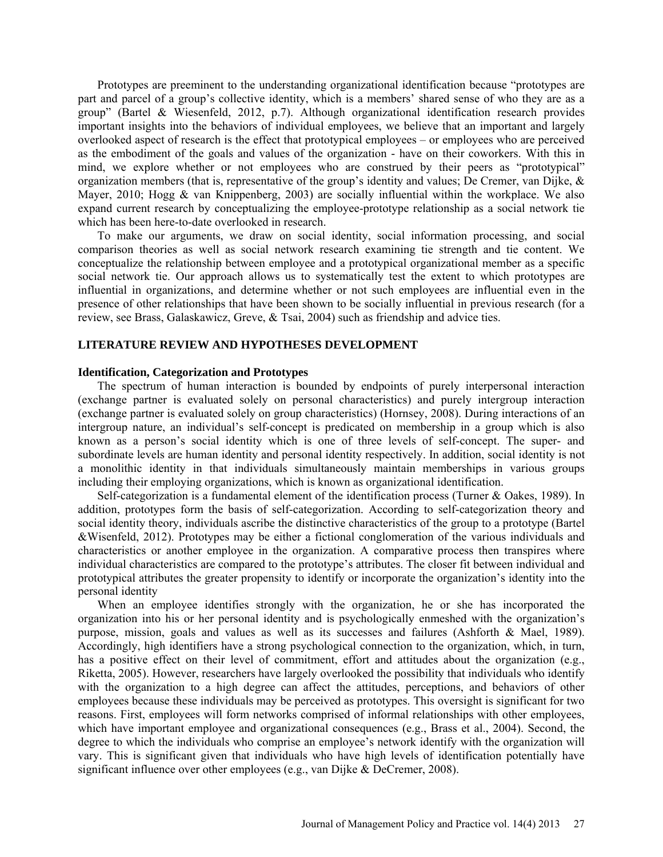Prototypes are preeminent to the understanding organizational identification because "prototypes are part and parcel of a group's collective identity, which is a members' shared sense of who they are as a group" (Bartel & Wiesenfeld, 2012, p.7). Although organizational identification research provides important insights into the behaviors of individual employees, we believe that an important and largely overlooked aspect of research is the effect that prototypical employees – or employees who are perceived as the embodiment of the goals and values of the organization - have on their coworkers. With this in mind, we explore whether or not employees who are construed by their peers as "prototypical" organization members (that is, representative of the group's identity and values; De Cremer, van Dijke,  $\&$ Mayer, 2010; Hogg & van Knippenberg, 2003) are socially influential within the workplace. We also expand current research by conceptualizing the employee-prototype relationship as a social network tie which has been here-to-date overlooked in research.

To make our arguments, we draw on social identity, social information processing, and social comparison theories as well as social network research examining tie strength and tie content. We conceptualize the relationship between employee and a prototypical organizational member as a specific social network tie. Our approach allows us to systematically test the extent to which prototypes are influential in organizations, and determine whether or not such employees are influential even in the presence of other relationships that have been shown to be socially influential in previous research (for a review, see Brass, Galaskawicz, Greve, & Tsai, 2004) such as friendship and advice ties.

# **LITERATURE REVIEW AND HYPOTHESES DEVELOPMENT**

#### **Identification, Categorization and Prototypes**

The spectrum of human interaction is bounded by endpoints of purely interpersonal interaction (exchange partner is evaluated solely on personal characteristics) and purely intergroup interaction (exchange partner is evaluated solely on group characteristics) (Hornsey, 2008). During interactions of an intergroup nature, an individual's self-concept is predicated on membership in a group which is also known as a person's social identity which is one of three levels of self-concept. The super- and subordinate levels are human identity and personal identity respectively. In addition, social identity is not a monolithic identity in that individuals simultaneously maintain memberships in various groups including their employing organizations, which is known as organizational identification.

Self-categorization is a fundamental element of the identification process (Turner & Oakes, 1989). In addition, prototypes form the basis of self-categorization. According to self-categorization theory and social identity theory, individuals ascribe the distinctive characteristics of the group to a prototype (Bartel &Wisenfeld, 2012). Prototypes may be either a fictional conglomeration of the various individuals and characteristics or another employee in the organization. A comparative process then transpires where individual characteristics are compared to the prototype's attributes. The closer fit between individual and prototypical attributes the greater propensity to identify or incorporate the organization's identity into the personal identity

When an employee identifies strongly with the organization, he or she has incorporated the organization into his or her personal identity and is psychologically enmeshed with the organization's purpose, mission, goals and values as well as its successes and failures (Ashforth & Mael, 1989). Accordingly, high identifiers have a strong psychological connection to the organization, which, in turn, has a positive effect on their level of commitment, effort and attitudes about the organization (e.g., Riketta, 2005). However, researchers have largely overlooked the possibility that individuals who identify with the organization to a high degree can affect the attitudes, perceptions, and behaviors of other employees because these individuals may be perceived as prototypes. This oversight is significant for two reasons. First, employees will form networks comprised of informal relationships with other employees, which have important employee and organizational consequences (e.g., Brass et al., 2004). Second, the degree to which the individuals who comprise an employee's network identify with the organization will vary. This is significant given that individuals who have high levels of identification potentially have significant influence over other employees (e.g., van Dijke & DeCremer, 2008).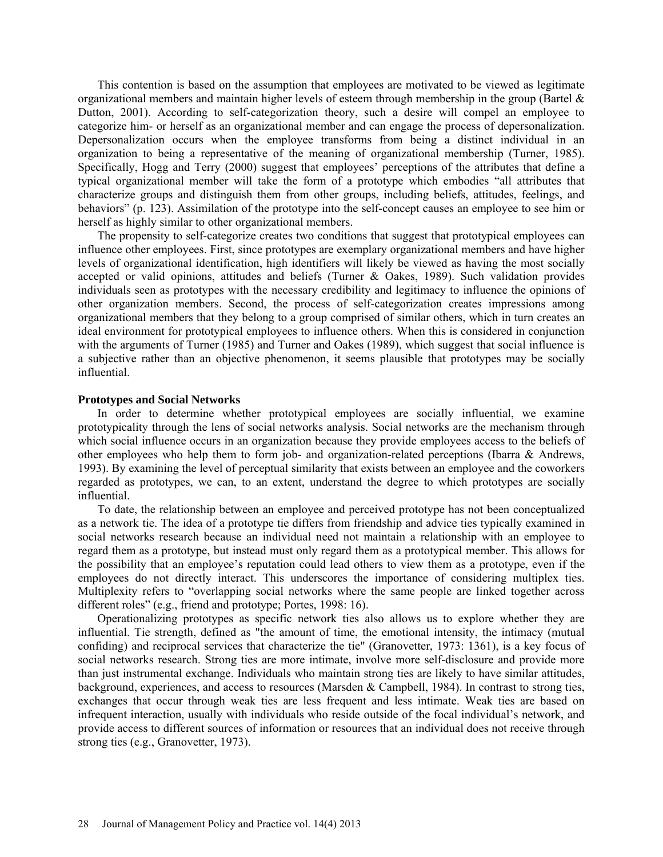This contention is based on the assumption that employees are motivated to be viewed as legitimate organizational members and maintain higher levels of esteem through membership in the group (Bartel  $\&$ Dutton, 2001). According to self-categorization theory, such a desire will compel an employee to categorize him- or herself as an organizational member and can engage the process of depersonalization. Depersonalization occurs when the employee transforms from being a distinct individual in an organization to being a representative of the meaning of organizational membership (Turner, 1985). Specifically, Hogg and Terry (2000) suggest that employees' perceptions of the attributes that define a typical organizational member will take the form of a prototype which embodies "all attributes that characterize groups and distinguish them from other groups, including beliefs, attitudes, feelings, and behaviors" (p. 123). Assimilation of the prototype into the self-concept causes an employee to see him or herself as highly similar to other organizational members.

The propensity to self-categorize creates two conditions that suggest that prototypical employees can influence other employees. First, since prototypes are exemplary organizational members and have higher levels of organizational identification, high identifiers will likely be viewed as having the most socially accepted or valid opinions, attitudes and beliefs (Turner & Oakes, 1989). Such validation provides individuals seen as prototypes with the necessary credibility and legitimacy to influence the opinions of other organization members. Second, the process of self-categorization creates impressions among organizational members that they belong to a group comprised of similar others, which in turn creates an ideal environment for prototypical employees to influence others. When this is considered in conjunction with the arguments of Turner (1985) and Turner and Oakes (1989), which suggest that social influence is a subjective rather than an objective phenomenon, it seems plausible that prototypes may be socially influential.

#### **Prototypes and Social Networks**

In order to determine whether prototypical employees are socially influential, we examine prototypicality through the lens of social networks analysis. Social networks are the mechanism through which social influence occurs in an organization because they provide employees access to the beliefs of other employees who help them to form job- and organization-related perceptions (Ibarra & Andrews, 1993). By examining the level of perceptual similarity that exists between an employee and the coworkers regarded as prototypes, we can, to an extent, understand the degree to which prototypes are socially influential.

To date, the relationship between an employee and perceived prototype has not been conceptualized as a network tie. The idea of a prototype tie differs from friendship and advice ties typically examined in social networks research because an individual need not maintain a relationship with an employee to regard them as a prototype, but instead must only regard them as a prototypical member. This allows for the possibility that an employee's reputation could lead others to view them as a prototype, even if the employees do not directly interact. This underscores the importance of considering multiplex ties. Multiplexity refers to "overlapping social networks where the same people are linked together across different roles" (e.g., friend and prototype; Portes, 1998: 16).

Operationalizing prototypes as specific network ties also allows us to explore whether they are influential. Tie strength, defined as "the amount of time, the emotional intensity, the intimacy (mutual confiding) and reciprocal services that characterize the tie" (Granovetter, 1973: 1361), is a key focus of social networks research. Strong ties are more intimate, involve more self-disclosure and provide more than just instrumental exchange. Individuals who maintain strong ties are likely to have similar attitudes, background, experiences, and access to resources (Marsden & Campbell, 1984). In contrast to strong ties, exchanges that occur through weak ties are less frequent and less intimate. Weak ties are based on infrequent interaction, usually with individuals who reside outside of the focal individual's network, and provide access to different sources of information or resources that an individual does not receive through strong ties (e.g., Granovetter, 1973).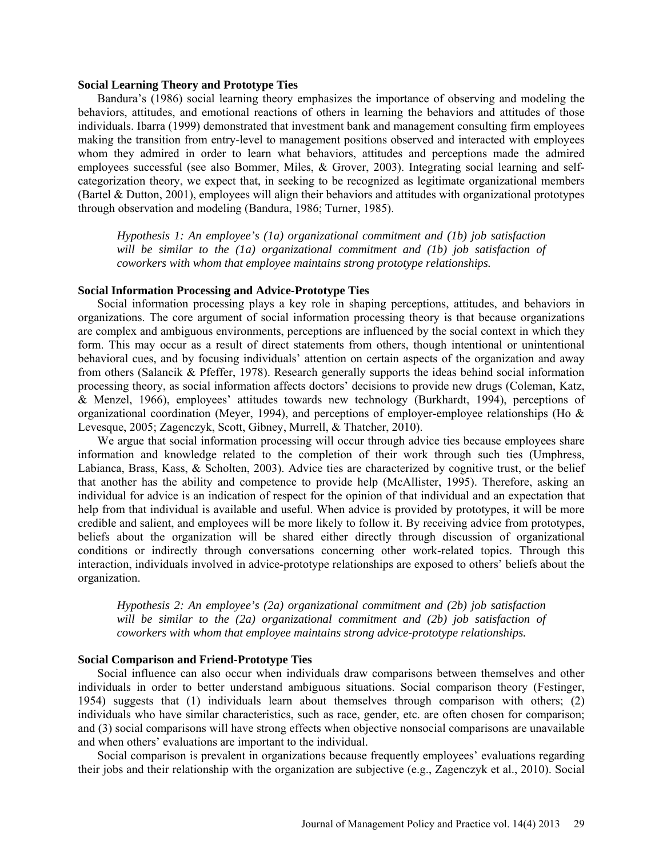#### **Social Learning Theory and Prototype Ties**

Bandura's (1986) social learning theory emphasizes the importance of observing and modeling the behaviors, attitudes, and emotional reactions of others in learning the behaviors and attitudes of those individuals. Ibarra (1999) demonstrated that investment bank and management consulting firm employees making the transition from entry-level to management positions observed and interacted with employees whom they admired in order to learn what behaviors, attitudes and perceptions made the admired employees successful (see also Bommer, Miles, & Grover, 2003). Integrating social learning and selfcategorization theory, we expect that, in seeking to be recognized as legitimate organizational members (Bartel & Dutton, 2001), employees will align their behaviors and attitudes with organizational prototypes through observation and modeling (Bandura, 1986; Turner, 1985).

*Hypothesis 1: An employee's (1a) organizational commitment and (1b) job satisfaction will be similar to the (1a) organizational commitment and (1b) job satisfaction of coworkers with whom that employee maintains strong prototype relationships.*

#### **Social Information Processing and Advice-Prototype Ties**

Social information processing plays a key role in shaping perceptions, attitudes, and behaviors in organizations. The core argument of social information processing theory is that because organizations are complex and ambiguous environments, perceptions are influenced by the social context in which they form. This may occur as a result of direct statements from others, though intentional or unintentional behavioral cues, and by focusing individuals' attention on certain aspects of the organization and away from others (Salancik & Pfeffer, 1978). Research generally supports the ideas behind social information processing theory, as social information affects doctors' decisions to provide new drugs (Coleman, Katz, & Menzel, 1966), employees' attitudes towards new technology (Burkhardt, 1994), perceptions of organizational coordination (Meyer, 1994), and perceptions of employer-employee relationships (Ho  $&$ Levesque, 2005; Zagenczyk, Scott, Gibney, Murrell, & Thatcher, 2010).

We argue that social information processing will occur through advice ties because employees share information and knowledge related to the completion of their work through such ties (Umphress, Labianca, Brass, Kass, & Scholten, 2003). Advice ties are characterized by cognitive trust, or the belief that another has the ability and competence to provide help (McAllister, 1995). Therefore, asking an individual for advice is an indication of respect for the opinion of that individual and an expectation that help from that individual is available and useful. When advice is provided by prototypes, it will be more credible and salient, and employees will be more likely to follow it. By receiving advice from prototypes, beliefs about the organization will be shared either directly through discussion of organizational conditions or indirectly through conversations concerning other work-related topics. Through this interaction, individuals involved in advice-prototype relationships are exposed to others' beliefs about the organization.

*Hypothesis 2: An employee's (2a) organizational commitment and (2b) job satisfaction*  will be similar to the (2a) organizational commitment and (2b) job satisfaction of *coworkers with whom that employee maintains strong advice-prototype relationships.*

#### **Social Comparison and Friend-Prototype Ties**

Social influence can also occur when individuals draw comparisons between themselves and other individuals in order to better understand ambiguous situations. Social comparison theory (Festinger, 1954) suggests that (1) individuals learn about themselves through comparison with others; (2) individuals who have similar characteristics, such as race, gender, etc. are often chosen for comparison; and (3) social comparisons will have strong effects when objective nonsocial comparisons are unavailable and when others' evaluations are important to the individual.

Social comparison is prevalent in organizations because frequently employees' evaluations regarding their jobs and their relationship with the organization are subjective (e.g., Zagenczyk et al., 2010). Social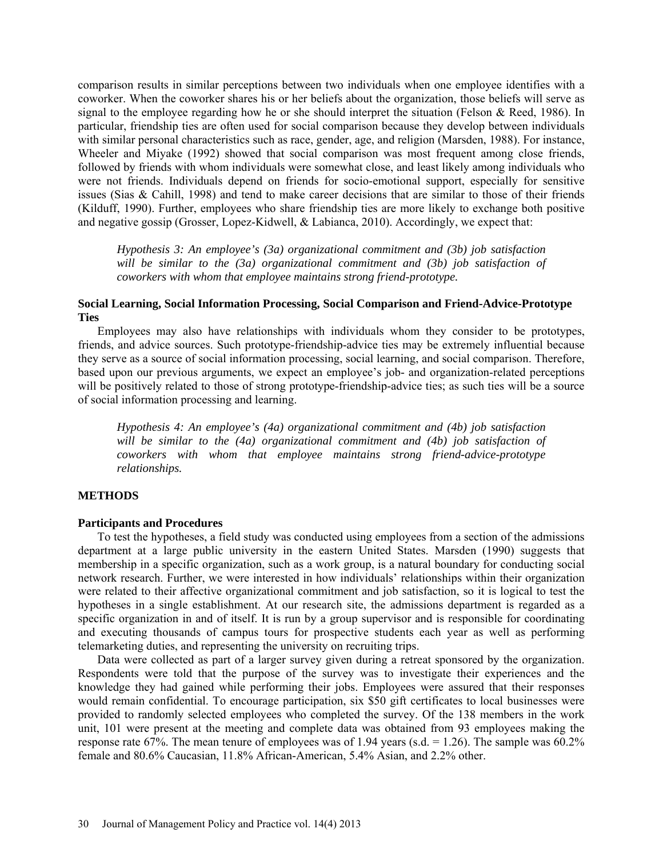comparison results in similar perceptions between two individuals when one employee identifies with a coworker. When the coworker shares his or her beliefs about the organization, those beliefs will serve as signal to the employee regarding how he or she should interpret the situation (Felson & Reed, 1986). In particular, friendship ties are often used for social comparison because they develop between individuals with similar personal characteristics such as race, gender, age, and religion (Marsden, 1988). For instance, Wheeler and Miyake (1992) showed that social comparison was most frequent among close friends, followed by friends with whom individuals were somewhat close, and least likely among individuals who were not friends. Individuals depend on friends for socio-emotional support, especially for sensitive issues (Sias & Cahill, 1998) and tend to make career decisions that are similar to those of their friends (Kilduff, 1990). Further, employees who share friendship ties are more likely to exchange both positive and negative gossip (Grosser, Lopez-Kidwell, & Labianca, 2010). Accordingly, we expect that:

*Hypothesis 3: An employee's (3a) organizational commitment and (3b) job satisfaction*  will be similar to the (3a) organizational commitment and (3b) job satisfaction of *coworkers with whom that employee maintains strong friend-prototype.*

# **Social Learning, Social Information Processing, Social Comparison and Friend-Advice-Prototype Ties**

Employees may also have relationships with individuals whom they consider to be prototypes, friends, and advice sources. Such prototype-friendship-advice ties may be extremely influential because they serve as a source of social information processing, social learning, and social comparison. Therefore, based upon our previous arguments, we expect an employee's job- and organization-related perceptions will be positively related to those of strong prototype-friendship-advice ties; as such ties will be a source of social information processing and learning.

*Hypothesis 4: An employee's (4a) organizational commitment and (4b) job satisfaction* will be similar to the (4a) organizational commitment and (4b) job satisfaction of *coworkers with whom that employee maintains strong friend-advice-prototype relationships.*

#### **METHODS**

#### **Participants and Procedures**

To test the hypotheses, a field study was conducted using employees from a section of the admissions department at a large public university in the eastern United States. Marsden (1990) suggests that membership in a specific organization, such as a work group, is a natural boundary for conducting social network research. Further, we were interested in how individuals' relationships within their organization were related to their affective organizational commitment and job satisfaction, so it is logical to test the hypotheses in a single establishment. At our research site, the admissions department is regarded as a specific organization in and of itself. It is run by a group supervisor and is responsible for coordinating and executing thousands of campus tours for prospective students each year as well as performing telemarketing duties, and representing the university on recruiting trips.

Data were collected as part of a larger survey given during a retreat sponsored by the organization. Respondents were told that the purpose of the survey was to investigate their experiences and the knowledge they had gained while performing their jobs. Employees were assured that their responses would remain confidential. To encourage participation, six \$50 gift certificates to local businesses were provided to randomly selected employees who completed the survey. Of the 138 members in the work unit, 101 were present at the meeting and complete data was obtained from 93 employees making the response rate 67%. The mean tenure of employees was of 1.94 years (s.d.  $= 1.26$ ). The sample was 60.2% female and 80.6% Caucasian, 11.8% African-American, 5.4% Asian, and 2.2% other.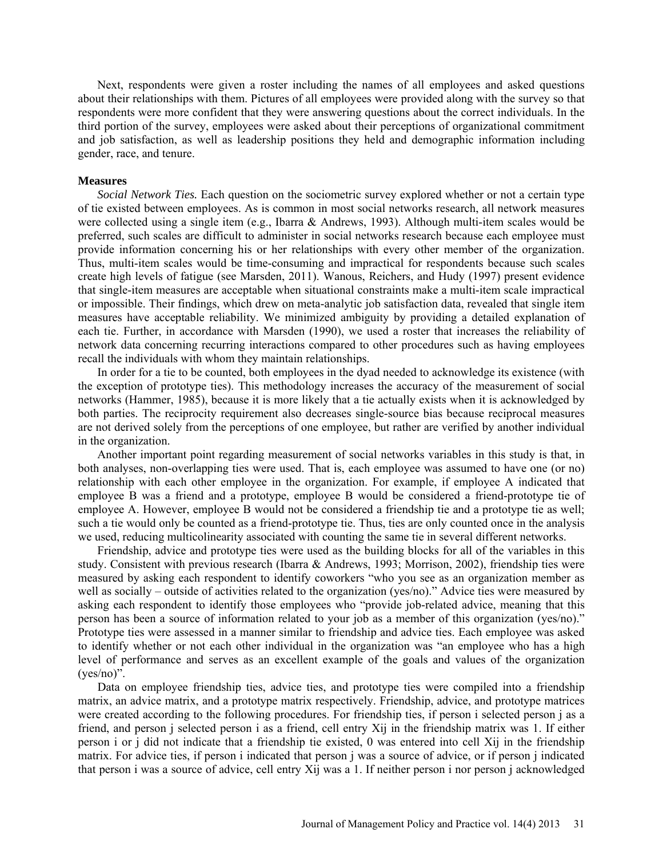Next, respondents were given a roster including the names of all employees and asked questions about their relationships with them. Pictures of all employees were provided along with the survey so that respondents were more confident that they were answering questions about the correct individuals. In the third portion of the survey, employees were asked about their perceptions of organizational commitment and job satisfaction, as well as leadership positions they held and demographic information including gender, race, and tenure.

#### **Measures**

*Social Network Ties.* Each question on the sociometric survey explored whether or not a certain type of tie existed between employees. As is common in most social networks research, all network measures were collected using a single item (e.g., Ibarra & Andrews, 1993). Although multi-item scales would be preferred, such scales are difficult to administer in social networks research because each employee must provide information concerning his or her relationships with every other member of the organization. Thus, multi-item scales would be time-consuming and impractical for respondents because such scales create high levels of fatigue (see Marsden, 2011). Wanous, Reichers, and Hudy (1997) present evidence that single-item measures are acceptable when situational constraints make a multi-item scale impractical or impossible. Their findings, which drew on meta-analytic job satisfaction data, revealed that single item measures have acceptable reliability. We minimized ambiguity by providing a detailed explanation of each tie. Further, in accordance with Marsden (1990), we used a roster that increases the reliability of network data concerning recurring interactions compared to other procedures such as having employees recall the individuals with whom they maintain relationships.

In order for a tie to be counted, both employees in the dyad needed to acknowledge its existence (with the exception of prototype ties). This methodology increases the accuracy of the measurement of social networks (Hammer, 1985), because it is more likely that a tie actually exists when it is acknowledged by both parties. The reciprocity requirement also decreases single-source bias because reciprocal measures are not derived solely from the perceptions of one employee, but rather are verified by another individual in the organization.

Another important point regarding measurement of social networks variables in this study is that, in both analyses, non-overlapping ties were used. That is, each employee was assumed to have one (or no) relationship with each other employee in the organization. For example, if employee A indicated that employee B was a friend and a prototype, employee B would be considered a friend-prototype tie of employee A. However, employee B would not be considered a friendship tie and a prototype tie as well; such a tie would only be counted as a friend-prototype tie. Thus, ties are only counted once in the analysis we used, reducing multicolinearity associated with counting the same tie in several different networks.

Friendship, advice and prototype ties were used as the building blocks for all of the variables in this study. Consistent with previous research (Ibarra & Andrews, 1993; Morrison, 2002), friendship ties were measured by asking each respondent to identify coworkers "who you see as an organization member as well as socially – outside of activities related to the organization (yes/no)." Advice ties were measured by asking each respondent to identify those employees who "provide job-related advice, meaning that this person has been a source of information related to your job as a member of this organization (yes/no)." Prototype ties were assessed in a manner similar to friendship and advice ties. Each employee was asked to identify whether or not each other individual in the organization was "an employee who has a high level of performance and serves as an excellent example of the goals and values of the organization (yes/no)".

Data on employee friendship ties, advice ties, and prototype ties were compiled into a friendship matrix, an advice matrix, and a prototype matrix respectively. Friendship, advice, and prototype matrices were created according to the following procedures. For friendship ties, if person i selected person j as a friend, and person j selected person i as a friend, cell entry Xij in the friendship matrix was 1. If either person i or j did not indicate that a friendship tie existed, 0 was entered into cell Xij in the friendship matrix. For advice ties, if person i indicated that person j was a source of advice, or if person j indicated that person i was a source of advice, cell entry Xij was a 1. If neither person i nor person j acknowledged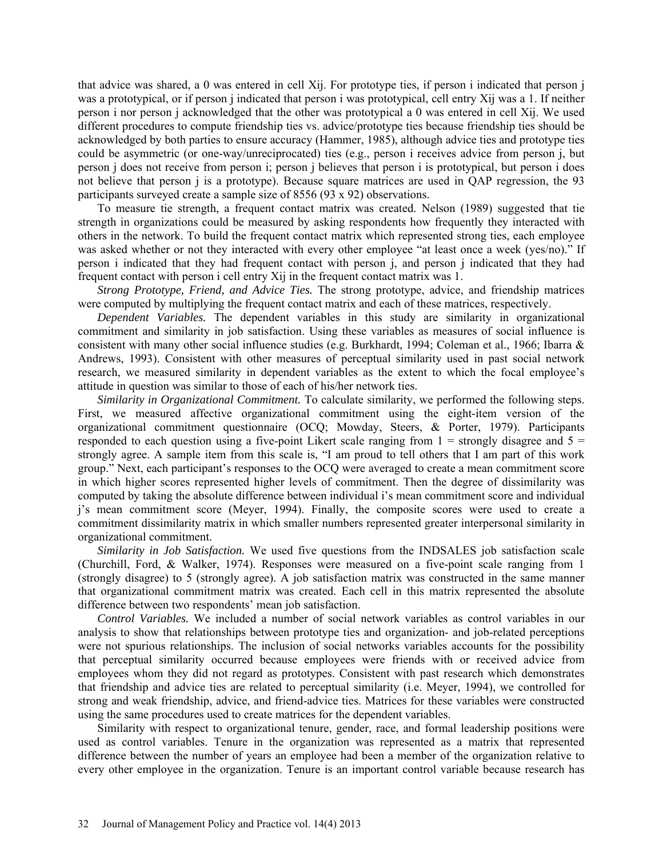that advice was shared, a 0 was entered in cell Xij. For prototype ties, if person i indicated that person j was a prototypical, or if person j indicated that person i was prototypical, cell entry Xij was a 1. If neither person i nor person j acknowledged that the other was prototypical a 0 was entered in cell Xij. We used different procedures to compute friendship ties vs. advice/prototype ties because friendship ties should be acknowledged by both parties to ensure accuracy (Hammer, 1985), although advice ties and prototype ties could be asymmetric (or one-way/unreciprocated) ties (e.g., person i receives advice from person j, but person j does not receive from person i; person j believes that person i is prototypical, but person i does not believe that person j is a prototype). Because square matrices are used in QAP regression, the 93 participants surveyed create a sample size of 8556 (93 x 92) observations.

To measure tie strength, a frequent contact matrix was created. Nelson (1989) suggested that tie strength in organizations could be measured by asking respondents how frequently they interacted with others in the network. To build the frequent contact matrix which represented strong ties, each employee was asked whether or not they interacted with every other employee "at least once a week (yes/no)." If person i indicated that they had frequent contact with person j, and person j indicated that they had frequent contact with person i cell entry Xij in the frequent contact matrix was 1.

*Strong Prototype, Friend, and Advice Ties.* The strong prototype, advice, and friendship matrices were computed by multiplying the frequent contact matrix and each of these matrices, respectively.

*Dependent Variables.* The dependent variables in this study are similarity in organizational commitment and similarity in job satisfaction. Using these variables as measures of social influence is consistent with many other social influence studies (e.g. Burkhardt, 1994; Coleman et al., 1966; Ibarra & Andrews, 1993). Consistent with other measures of perceptual similarity used in past social network research, we measured similarity in dependent variables as the extent to which the focal employee's attitude in question was similar to those of each of his/her network ties.

*Similarity in Organizational Commitment.* To calculate similarity, we performed the following steps. First, we measured affective organizational commitment using the eight-item version of the organizational commitment questionnaire (OCQ; Mowday, Steers, & Porter, 1979). Participants responded to each question using a five-point Likert scale ranging from  $1 =$  strongly disagree and  $5 =$ strongly agree. A sample item from this scale is, "I am proud to tell others that I am part of this work group." Next, each participant's responses to the OCQ were averaged to create a mean commitment score in which higher scores represented higher levels of commitment. Then the degree of dissimilarity was computed by taking the absolute difference between individual i's mean commitment score and individual j's mean commitment score (Meyer, 1994). Finally, the composite scores were used to create a commitment dissimilarity matrix in which smaller numbers represented greater interpersonal similarity in organizational commitment.

*Similarity in Job Satisfaction.* We used five questions from the INDSALES job satisfaction scale (Churchill, Ford, & Walker, 1974). Responses were measured on a five-point scale ranging from 1 (strongly disagree) to 5 (strongly agree). A job satisfaction matrix was constructed in the same manner that organizational commitment matrix was created. Each cell in this matrix represented the absolute difference between two respondents' mean job satisfaction.

*Control Variables.* We included a number of social network variables as control variables in our analysis to show that relationships between prototype ties and organization- and job-related perceptions were not spurious relationships. The inclusion of social networks variables accounts for the possibility that perceptual similarity occurred because employees were friends with or received advice from employees whom they did not regard as prototypes. Consistent with past research which demonstrates that friendship and advice ties are related to perceptual similarity (i.e. Meyer, 1994), we controlled for strong and weak friendship, advice, and friend-advice ties. Matrices for these variables were constructed using the same procedures used to create matrices for the dependent variables.

Similarity with respect to organizational tenure, gender, race, and formal leadership positions were used as control variables. Tenure in the organization was represented as a matrix that represented difference between the number of years an employee had been a member of the organization relative to every other employee in the organization. Tenure is an important control variable because research has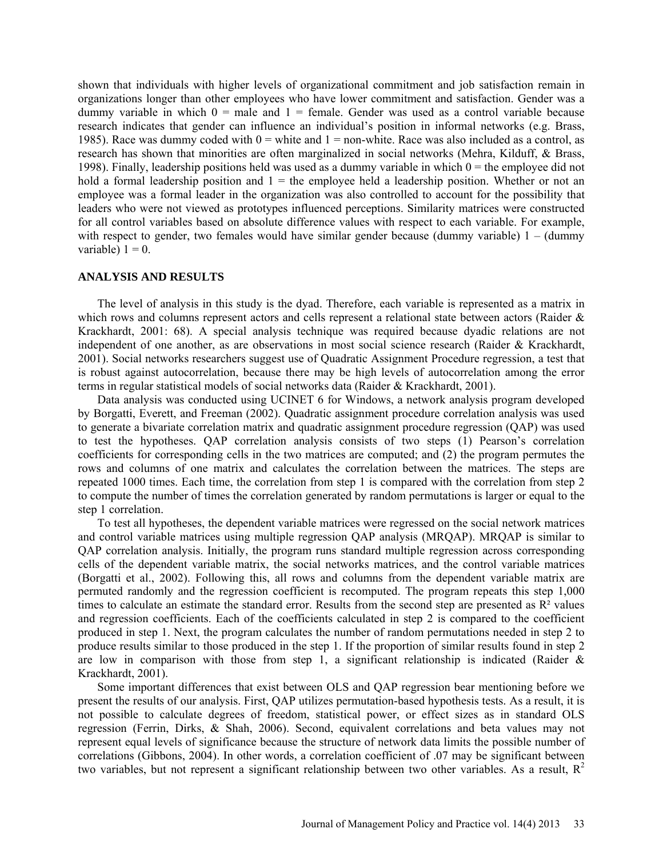shown that individuals with higher levels of organizational commitment and job satisfaction remain in organizations longer than other employees who have lower commitment and satisfaction. Gender was a dummy variable in which  $0 =$  male and  $1 =$  female. Gender was used as a control variable because research indicates that gender can influence an individual's position in informal networks (e.g. Brass, 1985). Race was dummy coded with  $0 =$  white and  $1 =$  non-white. Race was also included as a control, as research has shown that minorities are often marginalized in social networks (Mehra, Kilduff, & Brass, 1998). Finally, leadership positions held was used as a dummy variable in which  $0 =$  the employee did not hold a formal leadership position and  $1 =$  the employee held a leadership position. Whether or not an employee was a formal leader in the organization was also controlled to account for the possibility that leaders who were not viewed as prototypes influenced perceptions. Similarity matrices were constructed for all control variables based on absolute difference values with respect to each variable. For example, with respect to gender, two females would have similar gender because (dummy variable)  $1 - (dummy)$ variable)  $1 = 0$ .

#### **ANALYSIS AND RESULTS**

The level of analysis in this study is the dyad. Therefore, each variable is represented as a matrix in which rows and columns represent actors and cells represent a relational state between actors (Raider & Krackhardt, 2001: 68). A special analysis technique was required because dyadic relations are not independent of one another, as are observations in most social science research (Raider & Krackhardt, 2001). Social networks researchers suggest use of Quadratic Assignment Procedure regression, a test that is robust against autocorrelation, because there may be high levels of autocorrelation among the error terms in regular statistical models of social networks data (Raider & Krackhardt, 2001).

Data analysis was conducted using UCINET 6 for Windows, a network analysis program developed by Borgatti, Everett, and Freeman (2002). Quadratic assignment procedure correlation analysis was used to generate a bivariate correlation matrix and quadratic assignment procedure regression (QAP) was used to test the hypotheses. QAP correlation analysis consists of two steps (1) Pearson's correlation coefficients for corresponding cells in the two matrices are computed; and (2) the program permutes the rows and columns of one matrix and calculates the correlation between the matrices. The steps are repeated 1000 times. Each time, the correlation from step 1 is compared with the correlation from step 2 to compute the number of times the correlation generated by random permutations is larger or equal to the step 1 correlation.

To test all hypotheses, the dependent variable matrices were regressed on the social network matrices and control variable matrices using multiple regression QAP analysis (MRQAP). MRQAP is similar to QAP correlation analysis. Initially, the program runs standard multiple regression across corresponding cells of the dependent variable matrix, the social networks matrices, and the control variable matrices (Borgatti et al., 2002). Following this, all rows and columns from the dependent variable matrix are permuted randomly and the regression coefficient is recomputed. The program repeats this step 1,000 times to calculate an estimate the standard error. Results from the second step are presented as  $\mathbb{R}^2$  values and regression coefficients. Each of the coefficients calculated in step 2 is compared to the coefficient produced in step 1. Next, the program calculates the number of random permutations needed in step 2 to produce results similar to those produced in the step 1. If the proportion of similar results found in step 2 are low in comparison with those from step 1, a significant relationship is indicated (Raider  $\&$ Krackhardt, 2001).

Some important differences that exist between OLS and QAP regression bear mentioning before we present the results of our analysis. First, QAP utilizes permutation-based hypothesis tests. As a result, it is not possible to calculate degrees of freedom, statistical power, or effect sizes as in standard OLS regression (Ferrin, Dirks, & Shah, 2006). Second, equivalent correlations and beta values may not represent equal levels of significance because the structure of network data limits the possible number of correlations (Gibbons, 2004). In other words, a correlation coefficient of .07 may be significant between two variables, but not represent a significant relationship between two other variables. As a result,  $R^2$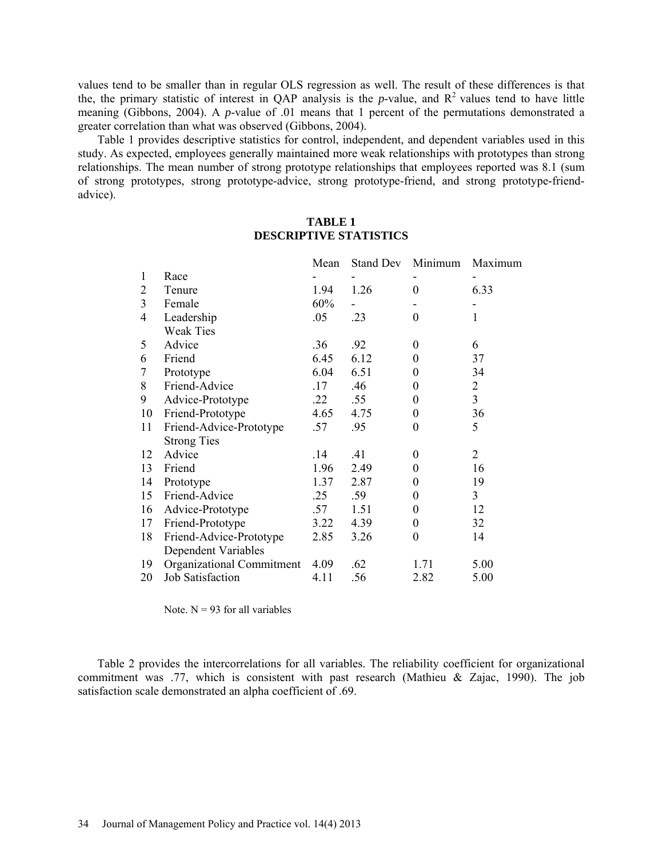values tend to be smaller than in regular OLS regression as well. The result of these differences is that the, the primary statistic of interest in QAP analysis is the *p*-value, and  $R^2$  values tend to have little meaning (Gibbons, 2004). A *p*-value of .01 means that 1 percent of the permutations demonstrated a greater correlation than what was observed (Gibbons, 2004).

Table 1 provides descriptive statistics for control, independent, and dependent variables used in this study. As expected, employees generally maintained more weak relationships with prototypes than strong relationships. The mean number of strong prototype relationships that employees reported was 8.1 (sum of strong prototypes, strong prototype-advice, strong prototype-friend, and strong prototype-friendadvice).

# **TABLE 1 DESCRIPTIVE STATISTICS**

|    |                           | Mean | Stand Dev | Minimum          | Maximum        |
|----|---------------------------|------|-----------|------------------|----------------|
| 1  | Race                      |      |           |                  |                |
| 2  | Tenure                    | 1.94 | 1.26      | 0                | 6.33           |
| 3  | Female                    | 60%  |           |                  |                |
| 4  | Leadership                | .05  | .23       | 0                | 1              |
|    | <b>Weak Ties</b>          |      |           |                  |                |
| 5  | Advice                    | .36  | .92       | 0                | 6              |
| 6  | Friend                    | 6.45 | 6.12      | 0                | 37             |
| 7  | Prototype                 | 6.04 | 6.51      | 0                | 34             |
| 8  | Friend-Advice             | .17  | .46       | 0                | 2              |
| 9  | Advice-Prototype          | .22  | .55       | $\boldsymbol{0}$ | $\overline{3}$ |
| 10 | Friend-Prototype          | 4.65 | 4.75      | 0                | 36             |
| 11 | Friend-Advice-Prototype   | .57  | .95       | 0                | 5              |
|    | <b>Strong Ties</b>        |      |           |                  |                |
| 12 | Advice                    | .14  | .41       | $\boldsymbol{0}$ | $\overline{2}$ |
| 13 | Friend                    | 1.96 | 2.49      | 0                | 16             |
| 14 | Prototype                 | 1.37 | 2.87      | 0                | 19             |
| 15 | Friend-Advice             | .25  | .59       | 0                | 3              |
| 16 | Advice-Prototype          | .57  | 1.51      | $\boldsymbol{0}$ | 12             |
| 17 | Friend-Prototype          | 3.22 | 4.39      | 0                | 32             |
| 18 | Friend-Advice-Prototype   | 2.85 | 3.26      | 0                | 14             |
|    | Dependent Variables       |      |           |                  |                |
| 19 | Organizational Commitment | 4.09 | .62       | 1.71             | 5.00           |
| 20 | Job Satisfaction          | 4.11 | .56       | 2.82             | 5.00           |

Note.  $N = 93$  for all variables

Table 2 provides the intercorrelations for all variables. The reliability coefficient for organizational commitment was .77, which is consistent with past research (Mathieu & Zajac, 1990). The job satisfaction scale demonstrated an alpha coefficient of .69.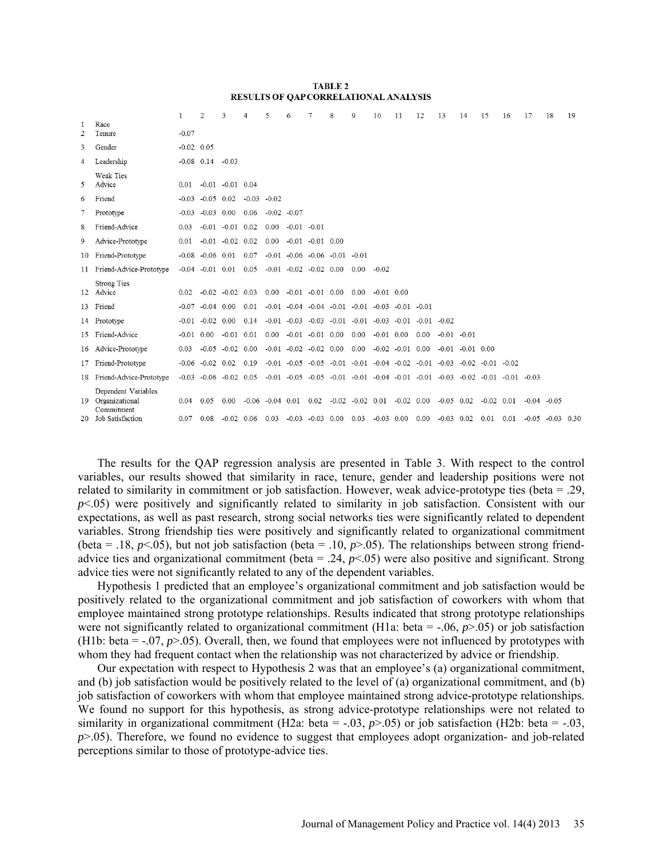#### **TABLE 2** RESULTS OF QAP CORRELATIONAL ANALYSIS

|                     |                                                                         | 1.           | 2                      | 3                              | 4              | 5             | 6                                                    |                      | 8 | $\mathsf{Q}$                                                                                            | 10             | 11                     | 12             | 13                           | 14                     | 15                   | 16   | 17             | 18                   | 19 |
|---------------------|-------------------------------------------------------------------------|--------------|------------------------|--------------------------------|----------------|---------------|------------------------------------------------------|----------------------|---|---------------------------------------------------------------------------------------------------------|----------------|------------------------|----------------|------------------------------|------------------------|----------------------|------|----------------|----------------------|----|
| 1<br>$\overline{2}$ | Race<br>Tenure                                                          | $-0.07$      |                        |                                |                |               |                                                      |                      |   |                                                                                                         |                |                        |                |                              |                        |                      |      |                |                      |    |
| 3                   | Gender                                                                  | $-0.02$ 0.05 |                        |                                |                |               |                                                      |                      |   |                                                                                                         |                |                        |                |                              |                        |                      |      |                |                      |    |
| 4                   | Leadership                                                              |              | $-0.08$ 0.14           | $-0.03$                        |                |               |                                                      |                      |   |                                                                                                         |                |                        |                |                              |                        |                      |      |                |                      |    |
| 5                   | Weak Ties<br>Advice                                                     | 0.01         |                        | $-0.01$ $-0.01$ 0.04           |                |               |                                                      |                      |   |                                                                                                         |                |                        |                |                              |                        |                      |      |                |                      |    |
| 6                   | Friend                                                                  |              | $-0.03 - 0.05 0.02$    |                                | $-0.03 - 0.02$ |               |                                                      |                      |   |                                                                                                         |                |                        |                |                              |                        |                      |      |                |                      |    |
| 7                   | Prototype                                                               |              | $-0.03 - 0.03$ 0.00    |                                | 0.06           | $-0.02 -0.07$ |                                                      |                      |   |                                                                                                         |                |                        |                |                              |                        |                      |      |                |                      |    |
| 8                   | Friend-Advice                                                           | 0.03         | $-0.01$                | $-0.01$ 0.02                   |                | 0.00          | $-0.01 - 0.01$                                       |                      |   |                                                                                                         |                |                        |                |                              |                        |                      |      |                |                      |    |
| 9                   | Advice-Prototype                                                        | 0.01         |                        | $-0.01$ $-0.02$ $0.02$         |                | 0.00          |                                                      | $-0.01 - 0.01 0.00$  |   |                                                                                                         |                |                        |                |                              |                        |                      |      |                |                      |    |
| 10                  | Friend-Prototype                                                        |              | $-0.08$ $-0.06$ $0.01$ |                                | 0.07           |               | $-0.01$ $-0.06$ $-0.06$ $-0.01$                      |                      |   | $-0.01$                                                                                                 |                |                        |                |                              |                        |                      |      |                |                      |    |
| 11                  | Friend-Advice-Prototype                                                 | $-0.04$      | $-0.01$ 0.01           |                                | 0.05           |               | $-0.01$ $-0.02$ $-0.02$ 0.00                         |                      |   | 0.00                                                                                                    | $-0.02$        |                        |                |                              |                        |                      |      |                |                      |    |
|                     | <b>Strong Ties</b><br>12 Advice                                         | 0.02         |                        | $-0.02 -0.02 0.03$             |                |               | $0.00 -0.01 -0.01 0.00$                              |                      |   | 0.00                                                                                                    | $-0.01$ 0.00   |                        |                |                              |                        |                      |      |                |                      |    |
|                     | 13 Friend                                                               | $-0.07$      | $-0.04$ 0.00           |                                | 0.01           |               |                                                      |                      |   | $-0.01$ $-0.04$ $-0.04$ $-0.01$ $-0.01$                                                                 | $-0.03 - 0.01$ |                        | $-0.01$        |                              |                        |                      |      |                |                      |    |
|                     | 14 Prototype                                                            |              | $-0.01$ $-0.02$ 0.00   |                                | 0.14           |               |                                                      |                      |   | $-0.01$ $-0.03$ $-0.03$ $-0.01$ $-0.01$ $-0.03$ $-0.01$                                                 |                |                        | $-0.01 - 0.02$ |                              |                        |                      |      |                |                      |    |
| 15                  | Friend-Advice                                                           | $-0.01$ 0.00 |                        | $-0.01$                        | 0.01           | 0.00          |                                                      | $-0.01$ $-0.01$ 0.00 |   | 0.00                                                                                                    | $-0.01$ 0.00   |                        | 0.00           | $-0.01 - 0.01$               |                        |                      |      |                |                      |    |
| 16                  | Advice-Prototype                                                        | 0.03         | $-0.05$                | $-0.02$ 0.00                   |                |               | $-0.01$ $-0.02$ $-0.02$ 0.00                         |                      |   | 0.00                                                                                                    |                | $-0.02$ $-0.01$ $0.00$ |                |                              | $-0.01$ $-0.01$ $0.00$ |                      |      |                |                      |    |
| 17                  | Friend-Prototype                                                        |              | $-0.06$ $-0.02$ $0.02$ |                                | 0.19           |               |                                                      |                      |   | $-0.01$ $-0.05$ $-0.05$ $-0.01$ $-0.01$ $-0.04$ $-0.02$ $-0.01$ $-0.03$ $-0.02$ $-0.01$ $-0.02$         |                |                        |                |                              |                        |                      |      |                |                      |    |
| 18                  | Friend-Advice-Prototype                                                 |              |                        | $-0.03$ $-0.06$ $-0.02$ $0.05$ |                |               |                                                      |                      |   | $-0.01$ $-0.05$ $-0.05$ $-0.01$ $-0.01$ $-0.04$ $-0.01$ $-0.01$ $-0.03$ $-0.02$ $-0.01$ $-0.01$ $-0.03$ |                |                        |                |                              |                        |                      |      |                |                      |    |
| 19<br>20            | Dependent Variables<br>Organizational<br>Commitment<br>Job Satisfaction | 0.04<br>0.07 | 0.05<br>0.08           | 0.00<br>$-0.02$ 0.06           |                | 0.03          | $-0.06$ $-0.04$ $0.01$ $0.02$<br>$-0.03 - 0.03$ 0.00 |                      |   | $-0.02$ $-0.02$ $0.01$ $-0.02$ $0.00$<br>0.03                                                           | $-0.03$ 0.00   |                        | 0.00           | $-0.05$ 0.02<br>$-0.03$ 0.02 |                        | $-0.02$ 0.01<br>0.01 | 0.01 | $-0.04 - 0.05$ | $-0.05$ $-0.03$ 0.30 |    |

The results for the QAP regression analysis are presented in Table 3. With respect to the control variables, our results showed that similarity in race, tenure, gender and leadership positions were not related to similarity in commitment or job satisfaction. However, weak advice-prototype ties (beta = .29, *p*<.05) were positively and significantly related to similarity in job satisfaction. Consistent with our expectations, as well as past research, strong social networks ties were significantly related to dependent variables. Strong friendship ties were positively and significantly related to organizational commitment (beta = .18,  $p$ <.05), but not job satisfaction (beta = .10,  $p$ >.05). The relationships between strong friendadvice ties and organizational commitment (beta = .24,  $p$ <.05) were also positive and significant. Strong advice ties were not significantly related to any of the dependent variables.

Hypothesis 1 predicted that an employee's organizational commitment and job satisfaction would be positively related to the organizational commitment and job satisfaction of coworkers with whom that employee maintained strong prototype relationships. Results indicated that strong prototype relationships were not significantly related to organizational commitment (H1a: beta  $=$  -.06,  $p$  $>$ .05) or job satisfaction (H1b: beta =  $-0.07$ , *p* $> 0.05$ ). Overall, then, we found that employees were not influenced by prototypes with whom they had frequent contact when the relationship was not characterized by advice or friendship.

Our expectation with respect to Hypothesis 2 was that an employee's (a) organizational commitment, and (b) job satisfaction would be positively related to the level of (a) organizational commitment, and (b) job satisfaction of coworkers with whom that employee maintained strong advice-prototype relationships. We found no support for this hypothesis, as strong advice-prototype relationships were not related to similarity in organizational commitment (H2a: beta =  $-0.03$ ,  $p > 0.05$ ) or job satisfaction (H2b: beta =  $-0.03$ , *p*>.05). Therefore, we found no evidence to suggest that employees adopt organization- and job-related perceptions similar to those of prototype-advice ties.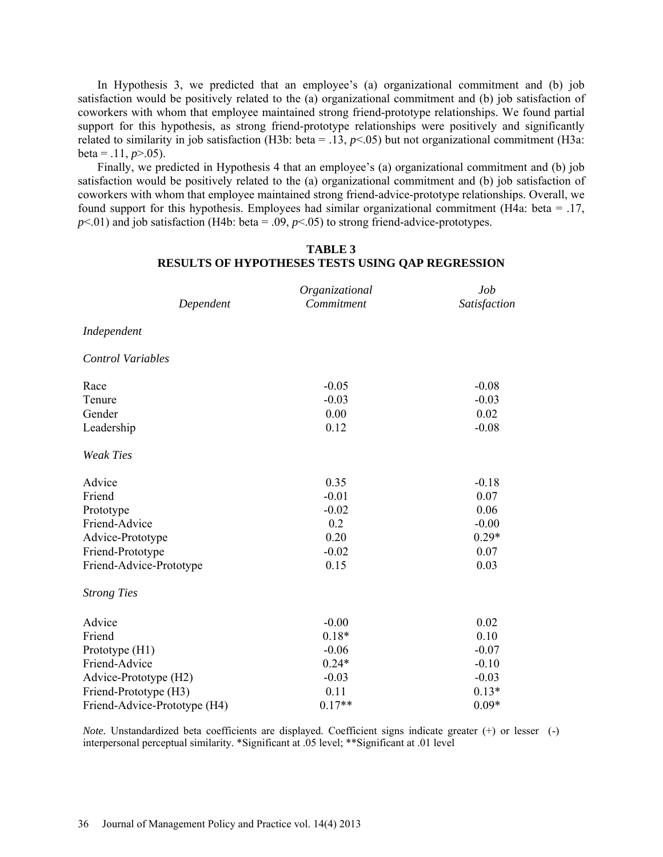In Hypothesis 3, we predicted that an employee's (a) organizational commitment and (b) job satisfaction would be positively related to the (a) organizational commitment and (b) job satisfaction of coworkers with whom that employee maintained strong friend-prototype relationships. We found partial support for this hypothesis, as strong friend-prototype relationships were positively and significantly related to similarity in job satisfaction (H3b: beta =  $.13$ ,  $p$ <.05) but not organizational commitment (H3a:  $beta = .11, p > .05$ ).

Finally, we predicted in Hypothesis 4 that an employee's (a) organizational commitment and (b) job satisfaction would be positively related to the (a) organizational commitment and (b) job satisfaction of coworkers with whom that employee maintained strong friend-advice-prototype relationships. Overall, we found support for this hypothesis. Employees had similar organizational commitment (H4a: beta = .17,  $p$ <.01) and job satisfaction (H4b: beta = .09,  $p$ <.05) to strong friend-advice-prototypes.

| Dependent                    | Organizational<br>Commitment | Job<br>Satisfaction |
|------------------------------|------------------------------|---------------------|
| Independent                  |                              |                     |
| <b>Control Variables</b>     |                              |                     |
| Race                         | $-0.05$                      | $-0.08$             |
| Tenure                       | $-0.03$                      | $-0.03$             |
| Gender                       | 0.00                         | 0.02                |
| Leadership                   | 0.12                         | $-0.08$             |
| <b>Weak Ties</b>             |                              |                     |
| Advice                       | 0.35                         | $-0.18$             |
| Friend                       | $-0.01$                      | 0.07                |
| Prototype                    | $-0.02$                      | 0.06                |
| Friend-Advice                | 0.2                          | $-0.00$             |
| Advice-Prototype             | 0.20                         | $0.29*$             |
| Friend-Prototype             | $-0.02$                      | 0.07                |
| Friend-Advice-Prototype      | 0.15                         | 0.03                |
| <b>Strong Ties</b>           |                              |                     |
| Advice                       | $-0.00$                      | 0.02                |
| Friend                       | $0.18*$                      | 0.10                |
| Prototype (H1)               | $-0.06$                      | $-0.07$             |
| Friend-Advice                | $0.24*$                      | $-0.10$             |
| Advice-Prototype (H2)        | $-0.03$                      | $-0.03$             |
| Friend-Prototype (H3)        | 0.11                         | $0.13*$             |
| Friend-Advice-Prototype (H4) | $0.17**$                     | $0.09*$             |

## **TABLE 3 RESULTS OF HYPOTHESES TESTS USING QAP REGRESSION**

*Note.* Unstandardized beta coefficients are displayed. Coefficient signs indicate greater (+) or lesser (-) interpersonal perceptual similarity. \*Significant at .05 level; \*\*Significant at .01 level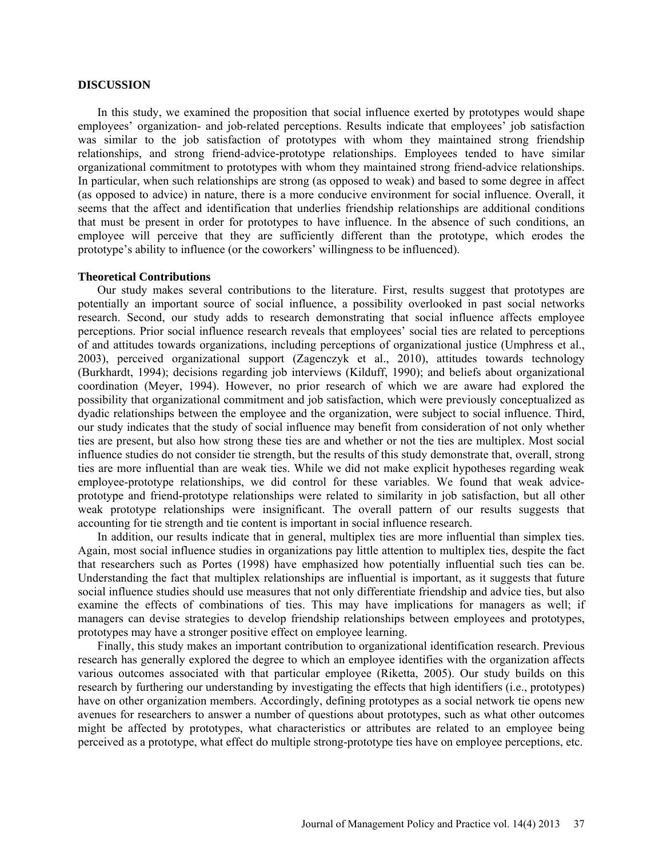#### **DISCUSSION**

In this study, we examined the proposition that social influence exerted by prototypes would shape employees' organization- and job-related perceptions. Results indicate that employees' job satisfaction was similar to the job satisfaction of prototypes with whom they maintained strong friendship relationships, and strong friend-advice-prototype relationships. Employees tended to have similar organizational commitment to prototypes with whom they maintained strong friend-advice relationships. In particular, when such relationships are strong (as opposed to weak) and based to some degree in affect (as opposed to advice) in nature, there is a more conducive environment for social influence. Overall, it seems that the affect and identification that underlies friendship relationships are additional conditions that must be present in order for prototypes to have influence. In the absence of such conditions, an employee will perceive that they are sufficiently different than the prototype, which erodes the prototype's ability to influence (or the coworkers' willingness to be influenced).

#### **Theoretical Contributions**

Our study makes several contributions to the literature. First, results suggest that prototypes are potentially an important source of social influence, a possibility overlooked in past social networks research. Second, our study adds to research demonstrating that social influence affects employee perceptions. Prior social influence research reveals that employees' social ties are related to perceptions of and attitudes towards organizations, including perceptions of organizational justice (Umphress et al., 2003), perceived organizational support (Zagenczyk et al., 2010), attitudes towards technology (Burkhardt, 1994); decisions regarding job interviews (Kilduff, 1990); and beliefs about organizational coordination (Meyer, 1994). However, no prior research of which we are aware had explored the possibility that organizational commitment and job satisfaction, which were previously conceptualized as dyadic relationships between the employee and the organization, were subject to social influence. Third, our study indicates that the study of social influence may benefit from consideration of not only whether ties are present, but also how strong these ties are and whether or not the ties are multiplex. Most social influence studies do not consider tie strength, but the results of this study demonstrate that, overall, strong ties are more influential than are weak ties. While we did not make explicit hypotheses regarding weak employee-prototype relationships, we did control for these variables. We found that weak adviceprototype and friend-prototype relationships were related to similarity in job satisfaction, but all other weak prototype relationships were insignificant. The overall pattern of our results suggests that accounting for tie strength and tie content is important in social influence research.

In addition, our results indicate that in general, multiplex ties are more influential than simplex ties. Again, most social influence studies in organizations pay little attention to multiplex ties, despite the fact that researchers such as Portes (1998) have emphasized how potentially influential such ties can be. Understanding the fact that multiplex relationships are influential is important, as it suggests that future social influence studies should use measures that not only differentiate friendship and advice ties, but also examine the effects of combinations of ties. This may have implications for managers as well; if managers can devise strategies to develop friendship relationships between employees and prototypes, prototypes may have a stronger positive effect on employee learning.

Finally, this study makes an important contribution to organizational identification research. Previous research has generally explored the degree to which an employee identifies with the organization affects various outcomes associated with that particular employee (Riketta, 2005). Our study builds on this research by furthering our understanding by investigating the effects that high identifiers (i.e., prototypes) have on other organization members. Accordingly, defining prototypes as a social network tie opens new avenues for researchers to answer a number of questions about prototypes, such as what other outcomes might be affected by prototypes, what characteristics or attributes are related to an employee being perceived as a prototype, what effect do multiple strong-prototype ties have on employee perceptions, etc.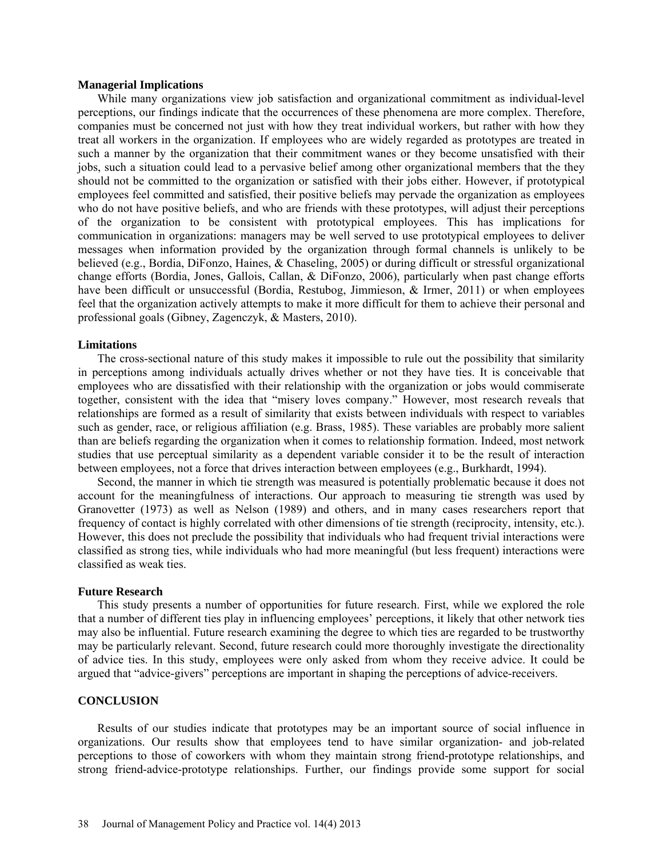#### **Managerial Implications**

While many organizations view job satisfaction and organizational commitment as individual-level perceptions, our findings indicate that the occurrences of these phenomena are more complex. Therefore, companies must be concerned not just with how they treat individual workers, but rather with how they treat all workers in the organization. If employees who are widely regarded as prototypes are treated in such a manner by the organization that their commitment wanes or they become unsatisfied with their jobs, such a situation could lead to a pervasive belief among other organizational members that the they should not be committed to the organization or satisfied with their jobs either. However, if prototypical employees feel committed and satisfied, their positive beliefs may pervade the organization as employees who do not have positive beliefs, and who are friends with these prototypes, will adjust their perceptions of the organization to be consistent with prototypical employees. This has implications for communication in organizations: managers may be well served to use prototypical employees to deliver messages when information provided by the organization through formal channels is unlikely to be believed (e.g., Bordia, DiFonzo, Haines, & Chaseling, 2005) or during difficult or stressful organizational change efforts (Bordia, Jones, Gallois, Callan, & DiFonzo, 2006), particularly when past change efforts have been difficult or unsuccessful (Bordia, Restubog, Jimmieson, & Irmer, 2011) or when employees feel that the organization actively attempts to make it more difficult for them to achieve their personal and professional goals (Gibney, Zagenczyk, & Masters, 2010).

#### **Limitations**

The cross-sectional nature of this study makes it impossible to rule out the possibility that similarity in perceptions among individuals actually drives whether or not they have ties. It is conceivable that employees who are dissatisfied with their relationship with the organization or jobs would commiserate together, consistent with the idea that "misery loves company." However, most research reveals that relationships are formed as a result of similarity that exists between individuals with respect to variables such as gender, race, or religious affiliation (e.g. Brass, 1985). These variables are probably more salient than are beliefs regarding the organization when it comes to relationship formation. Indeed, most network studies that use perceptual similarity as a dependent variable consider it to be the result of interaction between employees, not a force that drives interaction between employees (e.g., Burkhardt, 1994).

Second, the manner in which tie strength was measured is potentially problematic because it does not account for the meaningfulness of interactions. Our approach to measuring tie strength was used by Granovetter (1973) as well as Nelson (1989) and others, and in many cases researchers report that frequency of contact is highly correlated with other dimensions of tie strength (reciprocity, intensity, etc.). However, this does not preclude the possibility that individuals who had frequent trivial interactions were classified as strong ties, while individuals who had more meaningful (but less frequent) interactions were classified as weak ties.

#### **Future Research**

This study presents a number of opportunities for future research. First, while we explored the role that a number of different ties play in influencing employees' perceptions, it likely that other network ties may also be influential. Future research examining the degree to which ties are regarded to be trustworthy may be particularly relevant. Second, future research could more thoroughly investigate the directionality of advice ties. In this study, employees were only asked from whom they receive advice. It could be argued that "advice-givers" perceptions are important in shaping the perceptions of advice-receivers.

#### **CONCLUSION**

Results of our studies indicate that prototypes may be an important source of social influence in organizations. Our results show that employees tend to have similar organization- and job-related perceptions to those of coworkers with whom they maintain strong friend-prototype relationships, and strong friend-advice-prototype relationships. Further, our findings provide some support for social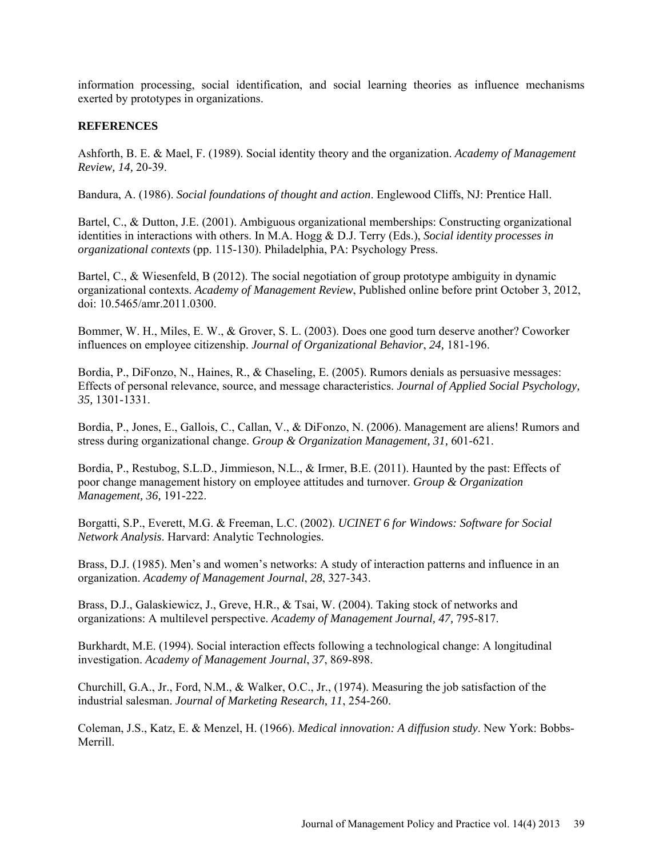information processing, social identification, and social learning theories as influence mechanisms exerted by prototypes in organizations.

# **REFERENCES**

Ashforth, B. E. & Mael, F. (1989). Social identity theory and the organization. *Academy of Management Review, 14,* 20-39.

Bandura, A. (1986). *Social foundations of thought and action*. Englewood Cliffs, NJ: Prentice Hall.

Bartel, C., & Dutton, J.E. (2001). Ambiguous organizational memberships: Constructing organizational identities in interactions with others. In M.A. Hogg & D.J. Terry (Eds.), *Social identity processes in organizational contexts* (pp. 115-130). Philadelphia, PA: Psychology Press.

Bartel, C., & Wiesenfeld, B (2012). The social negotiation of group prototype ambiguity in dynamic organizational contexts. *Academy of Management Review*, Published online before print October 3, 2012, doi: 10.5465/amr.2011.0300.

Bommer, W. H., Miles, E. W., & Grover, S. L. (2003). Does one good turn deserve another? Coworker influences on employee citizenship. *Journal of Organizational Behavior*, *24,* 181-196.

Bordia, P., DiFonzo, N., Haines, R., & Chaseling, E. (2005). Rumors denials as persuasive messages: Effects of personal relevance, source, and message characteristics. *Journal of Applied Social Psychology, 35,* 1301-1331.

Bordia, P., Jones, E., Gallois, C., Callan, V., & DiFonzo, N. (2006). Management are aliens! Rumors and stress during organizational change. *Group & Organization Management, 31,* 601-621.

Bordia, P., Restubog, S.L.D., Jimmieson, N.L., & Irmer, B.E. (2011). Haunted by the past: Effects of poor change management history on employee attitudes and turnover. *Group & Organization Management, 36,* 191-222.

Borgatti, S.P., Everett, M.G. & Freeman, L.C. (2002). *UCINET 6 for Windows: Software for Social Network Analysis*. Harvard: Analytic Technologies.

Brass, D.J. (1985). Men's and women's networks: A study of interaction patterns and influence in an organization. *Academy of Management Journal*, *28*, 327-343.

Brass, D.J., Galaskiewicz, J., Greve, H.R., & Tsai, W. (2004). Taking stock of networks and organizations: A multilevel perspective. *Academy of Management Journal, 47,* 795-817.

Burkhardt, M.E. (1994). Social interaction effects following a technological change: A longitudinal investigation. *Academy of Management Journal*, *37*, 869-898.

Churchill, G.A., Jr., Ford, N.M., & Walker, O.C., Jr., (1974). Measuring the job satisfaction of the industrial salesman. *Journal of Marketing Research, 11*, 254-260.

Coleman, J.S., Katz, E. & Menzel, H. (1966). *Medical innovation: A diffusion study*. New York: Bobbs-Merrill.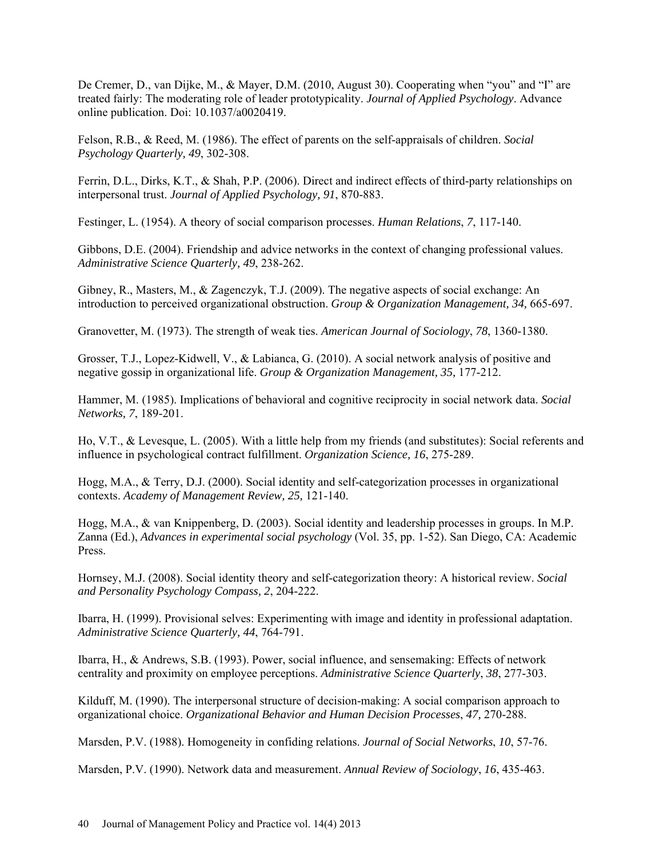De Cremer, D., van Dijke, M., & Mayer, D.M. (2010, August 30). Cooperating when "you" and "I" are treated fairly: The moderating role of leader prototypicality. *Journal of Applied Psychology*. Advance online publication. Doi: 10.1037/a0020419.

Felson, R.B., & Reed, M. (1986). The effect of parents on the self-appraisals of children. *Social Psychology Quarterly, 49*, 302-308.

Ferrin, D.L., Dirks, K.T., & Shah, P.P. (2006). Direct and indirect effects of third-party relationships on interpersonal trust. *Journal of Applied Psychology, 91*, 870-883.

Festinger, L. (1954). A theory of social comparison processes. *Human Relations*, *7*, 117-140.

Gibbons, D.E. (2004). Friendship and advice networks in the context of changing professional values. *Administrative Science Quarterly, 49*, 238-262.

Gibney, R., Masters, M., & Zagenczyk, T.J. (2009). The negative aspects of social exchange: An introduction to perceived organizational obstruction. *Group & Organization Management, 34,* 665-697.

Granovetter, M. (1973). The strength of weak ties. *American Journal of Sociology*, *78*, 1360-1380.

Grosser, T.J., Lopez-Kidwell, V., & Labianca, G. (2010). A social network analysis of positive and negative gossip in organizational life. *Group & Organization Management, 35,* 177-212.

Hammer, M. (1985). Implications of behavioral and cognitive reciprocity in social network data. *Social Networks, 7*, 189-201.

Ho, V.T., & Levesque, L. (2005). With a little help from my friends (and substitutes): Social referents and influence in psychological contract fulfillment. *Organization Science, 16*, 275-289.

Hogg, M.A., & Terry, D.J. (2000). Social identity and self-categorization processes in organizational contexts. *Academy of Management Review, 25,* 121-140.

Hogg, M.A., & van Knippenberg, D. (2003). Social identity and leadership processes in groups. In M.P. Zanna (Ed.), *Advances in experimental social psychology* (Vol. 35, pp. 1-52). San Diego, CA: Academic Press.

Hornsey, M.J. (2008). Social identity theory and self-categorization theory: A historical review. *Social and Personality Psychology Compass, 2*, 204-222.

Ibarra, H. (1999). Provisional selves: Experimenting with image and identity in professional adaptation. *Administrative Science Quarterly, 44*, 764-791.

Ibarra, H., & Andrews, S.B. (1993). Power, social influence, and sensemaking: Effects of network centrality and proximity on employee perceptions. *Administrative Science Quarterly*, *38*, 277-303.

Kilduff, M. (1990). The interpersonal structure of decision-making: A social comparison approach to organizational choice. *Organizational Behavior and Human Decision Processes*, *47,* 270-288.

Marsden, P.V. (1988). Homogeneity in confiding relations. *Journal of Social Networks*, *10*, 57-76.

Marsden, P.V. (1990). Network data and measurement. *Annual Review of Sociology*, *16*, 435-463.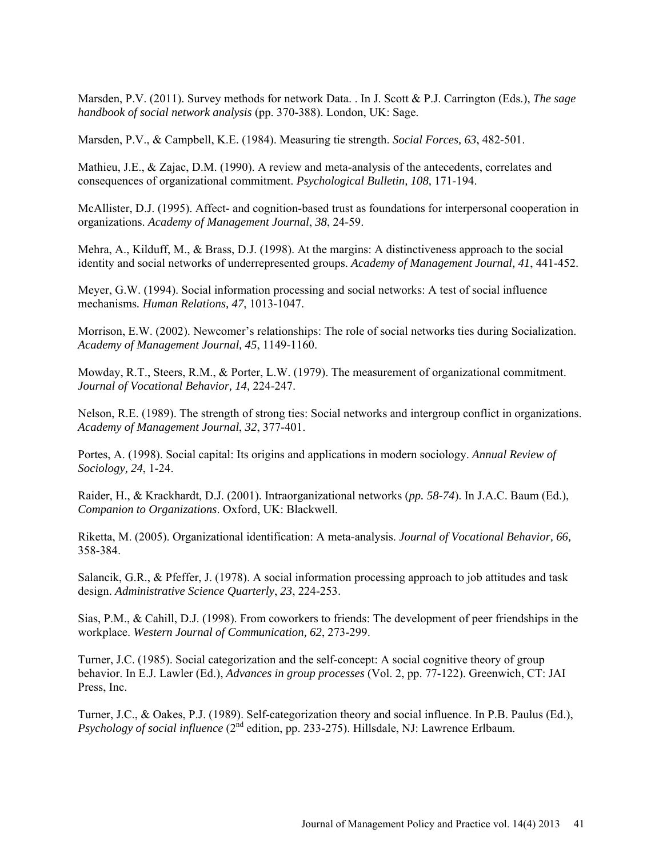Marsden, P.V. (2011). Survey methods for network Data. . In J. Scott & P.J. Carrington (Eds.), *The sage handbook of social network analysis* (pp. 370-388). London, UK: Sage.

Marsden, P.V., & Campbell, K.E. (1984). Measuring tie strength. *Social Forces, 63*, 482-501.

Mathieu, J.E., & Zajac, D.M. (1990). A review and meta-analysis of the antecedents, correlates and consequences of organizational commitment. *Psychological Bulletin, 108,* 171-194.

McAllister, D.J. (1995). Affect- and cognition-based trust as foundations for interpersonal cooperation in organizations. *Academy of Management Journal*, *38*, 24-59.

Mehra, A., Kilduff, M., & Brass, D.J. (1998). At the margins: A distinctiveness approach to the social identity and social networks of underrepresented groups. *Academy of Management Journal, 41*, 441-452.

Meyer, G.W. (1994). Social information processing and social networks: A test of social influence mechanisms*. Human Relations, 47*, 1013-1047.

Morrison, E.W. (2002). Newcomer's relationships: The role of social networks ties during Socialization. *Academy of Management Journal, 45*, 1149-1160.

Mowday, R.T., Steers, R.M., & Porter, L.W. (1979). The measurement of organizational commitment. *Journal of Vocational Behavior, 14,* 224-247.

Nelson, R.E. (1989). The strength of strong ties: Social networks and intergroup conflict in organizations. *Academy of Management Journal*, *32*, 377-401.

Portes, A. (1998). Social capital: Its origins and applications in modern sociology. *Annual Review of Sociology, 24*, 1-24.

Raider, H., & Krackhardt, D.J. (2001). Intraorganizational networks (*pp. 58-74*). In J.A.C. Baum (Ed.), *Companion to Organizations*. Oxford, UK: Blackwell.

Riketta, M. (2005). Organizational identification: A meta-analysis. *Journal of Vocational Behavior, 66,*  358-384.

Salancik, G.R., & Pfeffer, J. (1978). A social information processing approach to job attitudes and task design. *Administrative Science Quarterly*, *23*, 224-253.

Sias, P.M., & Cahill, D.J. (1998). From coworkers to friends: The development of peer friendships in the workplace. *Western Journal of Communication, 62*, 273-299.

Turner, J.C. (1985). Social categorization and the self-concept: A social cognitive theory of group behavior. In E.J. Lawler (Ed.), *Advances in group processes* (Vol. 2, pp. 77-122). Greenwich, CT: JAI Press, Inc.

Turner, J.C., & Oakes, P.J. (1989). Self-categorization theory and social influence. In P.B. Paulus (Ed.), *Psychology of social influence* (2<sup>nd</sup> edition, pp. 233-275). Hillsdale, NJ: Lawrence Erlbaum.